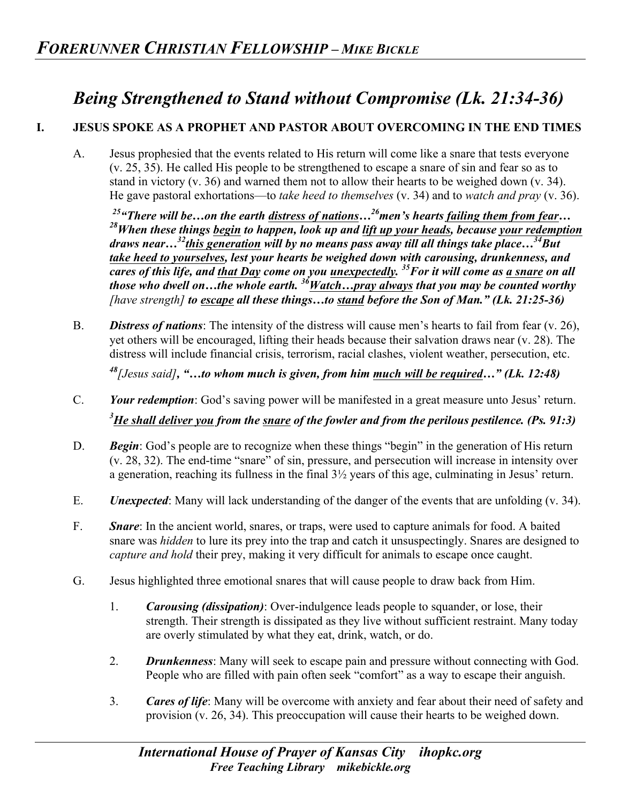## *Being Strengthened to Stand without Compromise (Lk. 21:34-36)*

## **I. JESUS SPOKE AS A PROPHET AND PASTOR ABOUT OVERCOMING IN THE END TIMES**

A. Jesus prophesied that the events related to His return will come like a snare that tests everyone (v. 25, 35). He called His people to be strengthened to escape a snare of sin and fear so as to stand in victory (v. 36) and warned them not to allow their hearts to be weighed down (v. 34). He gave pastoral exhortations—to *take heed to themselves* (v. 34) and to *watch and pray* (v. 36).

*25"There will be…on the earth distress of nations…26men's hearts failing them from fear… 28When these things begin to happen, look up and lift up your heads, because your redemption draws near…32this generation will by no means pass away till all things take place…34But take heed to yourselves, lest your hearts be weighed down with carousing, drunkenness, and cares of this life, and that Day come on you unexpectedly. 35For it will come as a snare on all those who dwell on…the whole earth.* <sup>36</sup>*Watch…pray always that you may be counted worthy those who dwell on…the whole earth.* <sup>36</sup>*Watch…pray always that you may be counted worthy [have strength] to escape all these things…to stand before the Son of Man." (Lk. 21:25-36)*

B. *Distress of nations*: The intensity of the distress will cause men's hearts to fail from fear (v. 26), yet others will be encouraged, lifting their heads because their salvation draws near (v. 28). The distress will include financial crisis, terrorism, racial clashes, violent weather, persecution, etc.

*<sup>48</sup>[Jesus said], "…to whom much is given, from him much will be required…" (Lk. 12:48)*

- C. *Your redemption*: God's saving power will be manifested in a great measure unto Jesus' return. *3 He shall deliver you from the snare of the fowler and from the perilous pestilence. (Ps. 91:3)*
- D. **Begin:** God's people are to recognize when these things "begin" in the generation of His return (v. 28, 32). The end-time "snare" of sin, pressure, and persecution will increase in intensity over a generation, reaching its fullness in the final 3½ years of this age, culminating in Jesus' return.
- E. *Unexpected*: Many will lack understanding of the danger of the events that are unfolding (v. 34).
- F. *Snare*: In the ancient world, snares, or traps, were used to capture animals for food. A baited snare was *hidden* to lure its prey into the trap and catch it unsuspectingly. Snares are designed to *capture and hold* their prey, making it very difficult for animals to escape once caught.
- G. Jesus highlighted three emotional snares that will cause people to draw back from Him.
	- 1. *Carousing (dissipation)*: Over-indulgence leads people to squander, or lose, their strength. Their strength is dissipated as they live without sufficient restraint. Many today are overly stimulated by what they eat, drink, watch, or do.
	- 2. *Drunkenness*: Many will seek to escape pain and pressure without connecting with God. People who are filled with pain often seek "comfort" as a way to escape their anguish.
	- 3. *Cares of life*: Many will be overcome with anxiety and fear about their need of safety and provision (v. 26, 34). This preoccupation will cause their hearts to be weighed down.